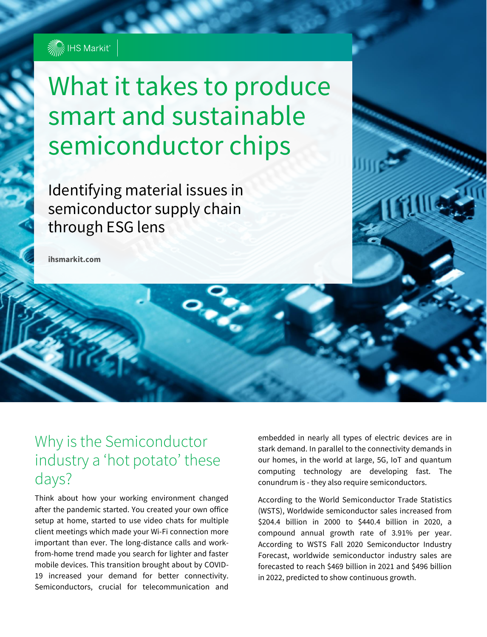

# What it takes to produce smart and sustainable Looking inside semiconductor semiconductor chips

 $\mathbf{S}$  and  $\mathbf{S}$  is the ESG lens through the ESG lens through the ESG lens through the ESG lens to  $\mathbf{S}$ semiconductor supply chain Identifying material issues in through ESG lens

**ihsmarkit.com**

## Why is the Semiconductor industry a 'hot potato' these days?

Think about how your working environment changed after the pandemic started. You created your own office setup at home, started to use video chats for multiple client meetings which made your Wi-Fi connection more important than ever. The long-distance calls and workfrom-home trend made you search for lighter and faster mobile devices. This transition brought about by COVID-19 increased your demand for better connectivity. Semiconductors, crucial for telecommunication and

embedded in nearly all types of electric devices are in stark demand. In parallel to the connectivity demands in our homes, in the world at large, 5G, IoT and quantum computing technology are developing fast. The conundrum is - they also require semiconductors.

According to the World Semiconductor Trade Statistics (WSTS), Worldwide semiconductor sales increased from \$204.4 billion in 2000 to \$440.4 billion in 2020, a compound annual growth rate of 3.91% per year. According to WSTS Fall 2020 Semiconductor Industry Forecast, worldwide semiconductor industry sales are forecasted to reach \$469 billion in 2021 and \$496 billion in 2022, predicted to show continuous growth.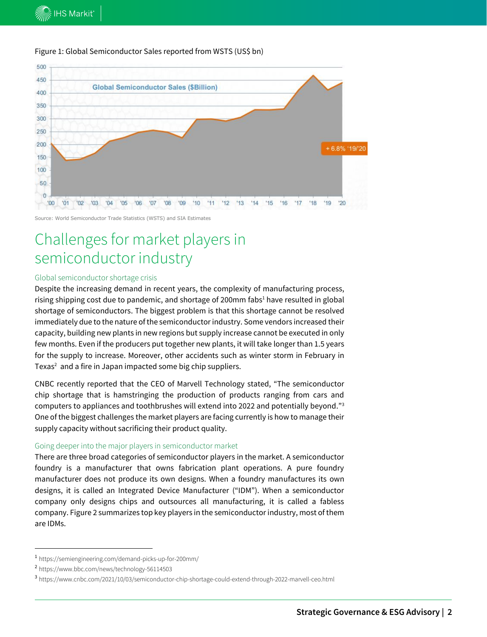

#### Figure 1: Global Semiconductor Sales reported from WSTS (US\$ bn)

Source: World Semiconductor Trade Statistics (WSTS) and SIA Estimates

# Challenges for market players in semiconductor industry

#### Global semiconductor shortage crisis

Despite the increasing demand in recent years, the complexity of manufacturing process, rising shipping cost due to pandemic, and shortage of 200mm fabs<sup>1</sup> have resulted in global shortage of semiconductors. The biggest problem is that this shortage cannot be resolved immediately due to the nature of the semiconductor industry. Some vendors increased their capacity, building new plants in new regions but supply increase cannot be executed in only few months. Even if the producers put together new plants, it will take longer than 1.5 years for the supply to increase. Moreover, other accidents such as winter storm in February in Texas<sup>2</sup> and a fire in Japan impacted some big chip suppliers.

CNBC recently reported that the CEO of Marvell Technology stated, "The semiconductor chip shortage that is hamstringing the production of products ranging from cars and computers to appliances and toothbrushes will extend into 2022 and potentially beyond." 3 One of the biggest challenges the market players are facing currently is how to manage their supply capacity without sacrificing their product quality.

#### Going deeper into the major players in semiconductor market

There are three broad categories of semiconductor players in the market. A semiconductor foundry is a manufacturer that owns fabrication plant operations. A pure foundry manufacturer does not produce its own designs. When a foundry manufactures its own designs, it is called an Integrated Device Manufacturer ("IDM"). When a semiconductor company only designs chips and outsources all manufacturing, it is called a fabless company. Figure 2 summarizes top key players in the semiconductor industry, most of them are IDMs.

<sup>1</sup> https://semiengineering.com/demand-picks-up-for-200mm/

<sup>2</sup> https://www.bbc.com/news/technology-56114503

<sup>3</sup> https://www.cnbc.com/2021/10/03/semiconductor-chip-shortage-could-extend-through-2022-marvell-ceo.html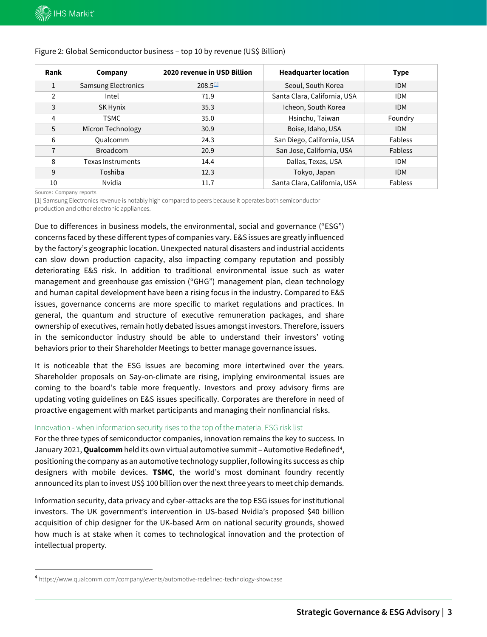| Rank           | Company                    | 2020 revenue in USD Billion | <b>Headquarter location</b>  | <b>Type</b>    |  |
|----------------|----------------------------|-----------------------------|------------------------------|----------------|--|
| $\mathbf{1}$   | <b>Samsung Electronics</b> | $208.5^{11}$                | Seoul, South Korea           | <b>IDM</b>     |  |
| $\overline{2}$ | Intel                      | 71.9                        | Santa Clara, California, USA | <b>IDM</b>     |  |
| 3              | SK Hynix                   | 35.3                        | Icheon, South Korea          | <b>IDM</b>     |  |
| 4              | <b>TSMC</b>                | 35.0                        | Hsinchu, Taiwan              | Foundry        |  |
| 5              | Micron Technology          | 30.9                        | Boise, Idaho, USA            | <b>IDM</b>     |  |
| 6              | <b>Qualcomm</b>            | 24.3                        | San Diego, California, USA   | Fabless        |  |
| $\overline{7}$ | <b>Broadcom</b>            | 20.9                        | San Jose, California, USA    | <b>Fabless</b> |  |
| 8              | Texas Instruments          | 14.4                        | Dallas, Texas, USA           | <b>IDM</b>     |  |
| 9              | Toshiba                    | 12.3                        | Tokyo, Japan                 | <b>IDM</b>     |  |
| 10             | Nvidia                     | 11.7                        | Santa Clara, California, USA | Fabless        |  |

#### Figure 2: Global Semiconductor business – top 10 by revenue (US\$ Billion)

Source: Company reports

[1] Samsung Electronics revenue is notably high compared to peers because it operates both semiconductor production and other electronic appliances.

Due to differences in business models, the environmental, social and governance ("ESG") concerns faced by these different types of companies vary. E&S issues are greatly influenced by the factory's geographic location. Unexpected natural disasters and industrial accidents can slow down production capacity, also impacting company reputation and possibly deteriorating E&S risk. In addition to traditional environmental issue such as water management and greenhouse gas emission ("GHG") management plan, clean technology and human capital development have been a rising focus in the industry. Compared to E&S issues, governance concerns are more specific to market regulations and practices. In general, the quantum and structure of executive remuneration packages, and share ownership of executives, remain hotly debated issues amongst investors. Therefore, issuers in the semiconductor industry should be able to understand their investors' voting behaviors prior to their Shareholder Meetings to better manage governance issues.

It is noticeable that the ESG issues are becoming more intertwined over the years. Shareholder proposals on Say-on-climate are rising, implying environmental issues are coming to the board's table more frequently. Investors and proxy advisory firms are updating voting guidelines on E&S issues specifically. Corporates are therefore in need of proactive engagement with market participants and managing their nonfinancial risks.

#### Innovation - when information security rises to the top of the material ESG risk list

For the three types of semiconductor companies, innovation remains the key to success. In January 2021, **Qualcomm** held its own virtual automotive summit – Automotive Redefined<sup>4</sup>, positioning the company as an automotive technology supplier, following its success as chip designers with mobile devices. **TSMC**, the world's most dominant foundry recently announced its plan to invest US\$ 100 billion over the next three years to meet chip demands.

Information security, data privacy and cyber-attacks are the top ESG issues for institutional investors. The UK government's intervention in US-based Nvidia's proposed \$40 billion acquisition of chip designer for the UK-based Arm on national security grounds, showed how much is at stake when it comes to technological innovation and the protection of intellectual property.

<sup>4</sup> https://www.qualcomm.com/company/events/automotive-redefined-technology-showcase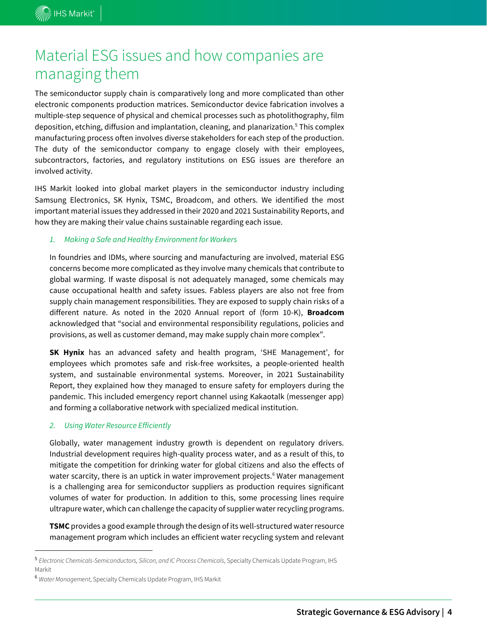# Material ESG issues and how companies are managing them

The semiconductor supply chain is comparatively long and more complicated than other electronic components production matrices. Semiconductor device fabrication involves a multiple-step sequence of physical and chemical processes such as photolithography, film deposition, etching, diffusion and implantation, cleaning, and planarization.<sup>5</sup> This complex manufacturing process often involves diverse stakeholders for each step of the production. The duty of the semiconductor company to engage closely with their employees, subcontractors, factories, and regulatory institutions on ESG issues are therefore an involved activity.

IHS Markit looked into global market players in the semiconductor industry including Samsung Electronics, SK Hynix, TSMC, Broadcom, and others. We identified the most important material issues they addressed in their 2020 and 2021 Sustainability Reports, and how they are making their value chains sustainable regarding each issue.

#### *1. Making a Safe and Healthy Environment for Workers*

In foundries and IDMs, where sourcing and manufacturing are involved, material ESG concerns become more complicated as they involve many chemicals that contribute to global warming. If waste disposal is not adequately managed, some chemicals may cause occupational health and safety issues. Fabless players are also not free from supply chain management responsibilities. They are exposed to supply chain risks of a different nature. As noted in the 2020 Annual report of (form 10-K), **Broadcom** acknowledged that "social and environmental responsibility regulations, policies and provisions, as well as customer demand, may make supply chain more complex".

**SK Hynix** has an advanced safety and health program, 'SHE Management', for employees which promotes safe and risk-free worksites, a people-oriented health system, and sustainable environmental systems. Moreover, in 2021 Sustainability Report, they explained how they managed to ensure safety for employers during the pandemic. This included emergency report channel using Kakaotalk (messenger app) and forming a collaborative network with specialized medical institution.

#### *2. Using Water Resource Efficiently*

Globally, water management industry growth is dependent on regulatory drivers. Industrial development requires high-quality process water, and as a result of this, to mitigate the competition for drinking water for global citizens and also the effects of water scarcity, there is an uptick in water improvement projects.<sup>6</sup> Water management is a challenging area for semiconductor suppliers as production requires significant volumes of water for production. In addition to this, some processing lines require ultrapure water, which can challenge the capacity of supplier water recycling programs.

**TSMC** provides a good example through the design of its well-structured water resource management program which includes an efficient water recycling system and relevant

<sup>5</sup> *Electronic Chemicals-Semiconductors, Silicon, and IC Process Chemicals*, Specialty Chemicals Update Program, IHS Markit

<sup>6</sup> *Water Management*, Specialty Chemicals Update Program, IHS Markit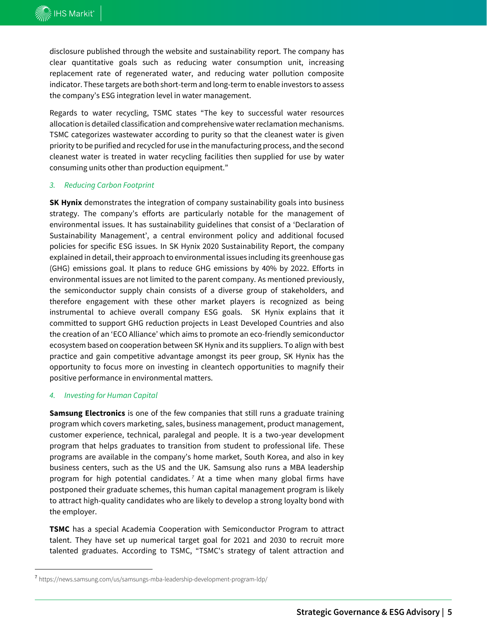disclosure published through the website and sustainability report. The company has clear quantitative goals such as reducing water consumption unit, increasing replacement rate of regenerated water, and reducing water pollution composite indicator. These targets are both short-term and long-term to enable investors to assess the company's ESG integration level in water management.

Regards to water recycling, TSMC states "The key to successful water resources allocation is detailed classification and comprehensive water reclamation mechanisms. TSMC categorizes wastewater according to purity so that the cleanest water is given priority to be purified and recycled for use in the manufacturing process, and the second cleanest water is treated in water recycling facilities then supplied for use by water consuming units other than production equipment."

#### *3. Reducing Carbon Footprint*

**SK Hynix** demonstrates the integration of company sustainability goals into business strategy. The company's efforts are particularly notable for the management of environmental issues. It has sustainability guidelines that consist of a 'Declaration of Sustainability Management', a central environment policy and additional focused policies for specific ESG issues. In SK Hynix 2020 Sustainability Report, the company explained in detail, their approach to environmental issues including its greenhouse gas (GHG) emissions goal. It plans to reduce GHG emissions by 40% by 2022. Efforts in environmental issues are not limited to the parent company. As mentioned previously, the semiconductor supply chain consists of a diverse group of stakeholders, and therefore engagement with these other market players is recognized as being instrumental to achieve overall company ESG goals. SK Hynix explains that it committed to support GHG reduction projects in Least Developed Countries and also the creation of an 'ECO Alliance' which aims to promote an eco-friendly semiconductor ecosystem based on cooperation between SK Hynix and its suppliers. To align with best practice and gain competitive advantage amongst its peer group, SK Hynix has the opportunity to focus more on investing in cleantech opportunities to magnify their positive performance in environmental matters.

#### *4. Investing for Human Capital*

**Samsung Electronics** is one of the few companies that still runs a graduate training program which covers marketing, sales, business management, product management, customer experience, technical, paralegal and people. It is a two-year development program that helps graduates to transition from student to professional life. These programs are available in the company's home market, South Korea, and also in key business centers, such as the US and the UK. Samsung also runs a MBA leadership program for high potential candidates. *<sup>7</sup>* At a time when many global firms have postponed their graduate schemes, this human capital management program is likely to attract high-quality candidates who are likely to develop a strong loyalty bond with the employer.

**TSMC** has a special Academia Cooperation with Semiconductor Program to attract talent. They have set up numerical target goal for 2021 and 2030 to recruit more talented graduates. According to TSMC, "TSMC's strategy of talent attraction and

<sup>7</sup> https://news.samsung.com/us/samsungs-mba-leadership-development-program-ldp/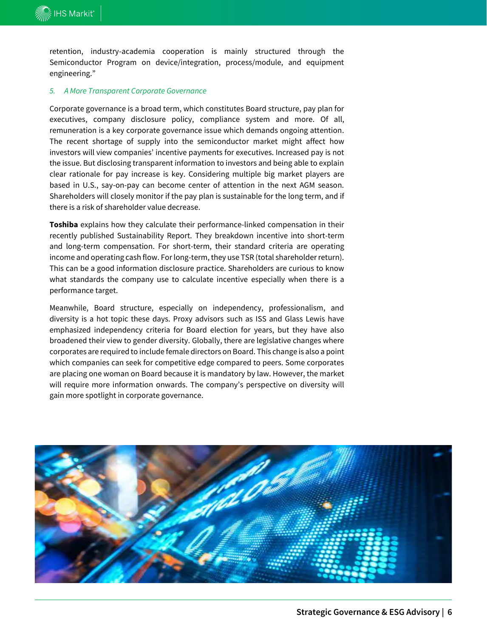retention, industry-academia cooperation is mainly structured through the Semiconductor Program on device/integration, process/module, and equipment engineering."

#### *5. A More Transparent Corporate Governance*

Corporate governance is a broad term, which constitutes Board structure, pay plan for executives, company disclosure policy, compliance system and more. Of all, remuneration is a key corporate governance issue which demands ongoing attention. The recent shortage of supply into the semiconductor market might affect how investors will view companies' incentive payments for executives. Increased pay is not the issue. But disclosing transparent information to investors and being able to explain clear rationale for pay increase is key. Considering multiple big market players are based in U.S., say-on-pay can become center of attention in the next AGM season. Shareholders will closely monitor if the pay plan is sustainable for the long term, and if there is a risk of shareholder value decrease.

**Toshiba** explains how they calculate their performance-linked compensation in their recently published Sustainability Report. They breakdown incentive into short-term and long-term compensation. For short-term, their standard criteria are operating income and operating cash flow. For long-term, they use TSR (total shareholder return). This can be a good information disclosure practice. Shareholders are curious to know what standards the company use to calculate incentive especially when there is a performance target.

Meanwhile, Board structure, especially on independency, professionalism, and diversity is a hot topic these days. Proxy advisors such as ISS and Glass Lewis have emphasized independency criteria for Board election for years, but they have also broadened their view to gender diversity. Globally, there are legislative changes where corporates are required to include female directors on Board. This change is also a point which companies can seek for competitive edge compared to peers. Some corporates are placing one woman on Board because it is mandatory by law. However, the market will require more information onwards. The company's perspective on diversity will gain more spotlight in corporate governance.

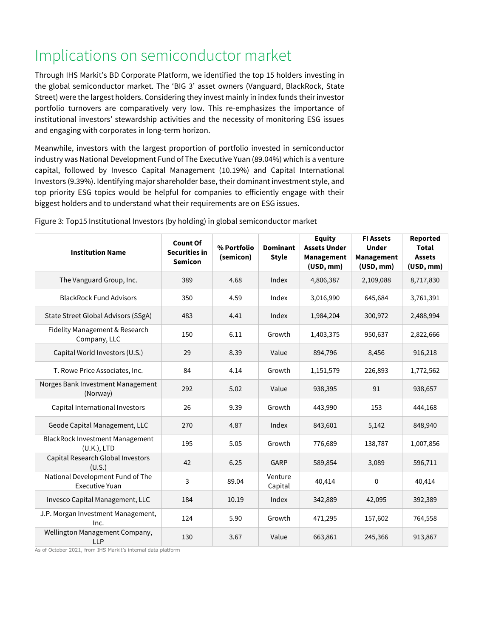# Implications on semiconductor market

Through IHS Markit's BD Corporate Platform, we identified the top 15 holders investing in the global semiconductor market. The 'BIG 3' asset owners (Vanguard, BlackRock, State Street) were the largest holders. Considering they invest mainly in index funds their investor portfolio turnovers are comparatively very low. This re-emphasizes the importance of institutional investors' stewardship activities and the necessity of monitoring ESG issues and engaging with corporates in long-term horizon.

Meanwhile, investors with the largest proportion of portfolio invested in semiconductor industry was National Development Fund of The Executive Yuan (89.04%) which is a venture capital, followed by Invesco Capital Management (10.19%) and Capital International Investors (9.39%). Identifying major shareholder base, their dominant investment style, and top priority ESG topics would be helpful for companies to efficiently engage with their biggest holders and to understand what their requirements are on ESG issues.

| <b>Institution Name</b>                                   | <b>Count Of</b><br><b>Securities in</b><br><b>Semicon</b> | % Portfolio<br>(semicon) | <b>Dominant</b><br><b>Style</b> | <b>Equity</b><br><b>Assets Under</b><br>Management<br>(USD, mm) | <b>FI Assets</b><br><b>Under</b><br>Management<br>(USD, mm) | Reported<br><b>Total</b><br><b>Assets</b><br>(USD, mm) |
|-----------------------------------------------------------|-----------------------------------------------------------|--------------------------|---------------------------------|-----------------------------------------------------------------|-------------------------------------------------------------|--------------------------------------------------------|
| The Vanguard Group, Inc.                                  | 389                                                       | 4.68                     | Index                           | 4,806,387                                                       | 2,109,088                                                   | 8,717,830                                              |
| <b>BlackRock Fund Advisors</b>                            | 350                                                       | 4.59                     | Index                           | 3,016,990                                                       | 645,684                                                     | 3,761,391                                              |
| State Street Global Advisors (SSgA)                       | 483                                                       | 4.41                     | Index                           | 1,984,204                                                       | 300,972                                                     | 2,488,994                                              |
| Fidelity Management & Research<br>Company, LLC            | 150                                                       | 6.11                     | Growth                          | 1,403,375                                                       | 950,637                                                     | 2,822,666                                              |
| Capital World Investors (U.S.)                            | 29                                                        | 8.39                     | Value                           | 894,796                                                         | 8,456                                                       | 916,218                                                |
| T. Rowe Price Associates, Inc.                            | 84                                                        | 4.14                     | Growth                          | 1,151,579                                                       | 226,893                                                     | 1,772,562                                              |
| Norges Bank Investment Management<br>(Norway)             | 292                                                       | 5.02                     | Value                           | 938,395                                                         | 91                                                          | 938,657                                                |
| Capital International Investors                           | 26                                                        | 9.39                     | Growth                          | 443,990                                                         | 153                                                         | 444,168                                                |
| Geode Capital Management, LLC                             | 270                                                       | 4.87                     | Index                           | 843,601                                                         | 5,142                                                       | 848,940                                                |
| <b>BlackRock Investment Management</b><br>$(U.K.)$ , LTD  | 195                                                       | 5.05                     | Growth                          | 776,689                                                         | 138,787                                                     | 1,007,856                                              |
| Capital Research Global Investors<br>(U.S.)               | 42                                                        | 6.25                     | GARP                            | 589,854                                                         | 3,089                                                       | 596,711                                                |
| National Development Fund of The<br><b>Executive Yuan</b> | 3                                                         | 89.04                    | Venture<br>Capital              | 40,414                                                          | $\Omega$                                                    | 40,414                                                 |
| Invesco Capital Management, LLC                           | 184                                                       | 10.19                    | Index                           | 342,889                                                         | 42,095                                                      | 392,389                                                |
| J.P. Morgan Investment Management,<br>Inc.                | 124                                                       | 5.90                     | Growth                          | 471,295                                                         | 157,602                                                     | 764,558                                                |
| Wellington Management Company,<br><b>LLP</b>              | 130                                                       | 3.67                     | Value                           | 663,861                                                         | 245,366                                                     | 913,867                                                |

Figure 3: Top15 Institutional Investors (by holding) in global semiconductor market

As of October 2021, from IHS Markit's internal data platform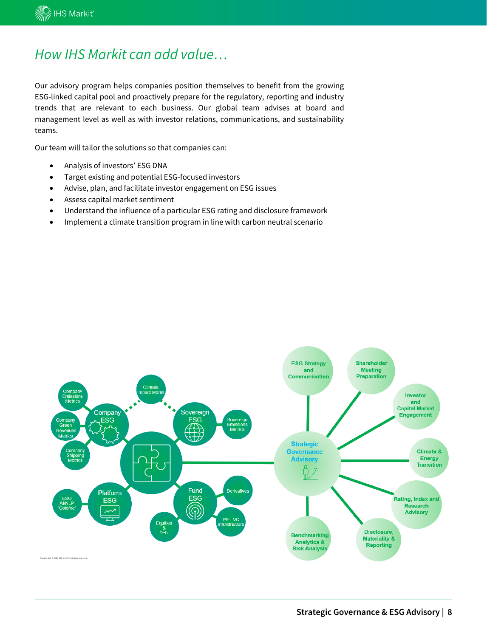### *How IHS Markit can add value…*

Our advisory program helps companies position themselves to benefit from the growing ESG-linked capital pool and proactively prepare for the regulatory, reporting and industry trends that are relevant to each business. Our global team advises at board and management level as well as with investor relations, communications, and sustainability teams.

Our team will tailor the solutions so that companies can:

- Analysis of investors' ESG DNA
- Target existing and potential ESG-focused investors
- Advise, plan, and facilitate investor engagement on ESG issues
- Assess capital market sentiment
- Understand the influence of a particular ESG rating and disclosure framework
- Implement a climate transition program in line with carbon neutral scenario

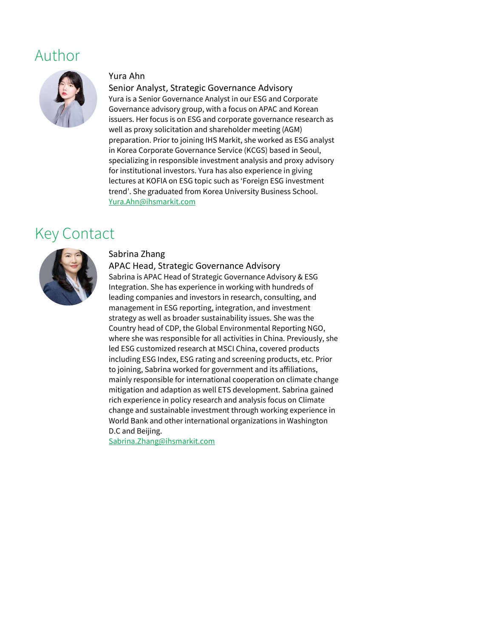### Author



#### Yura Ahn

#### Senior Analyst, Strategic Governance Advisory

Yura is a Senior Governance Analyst in our ESG and Corporate Governance advisory group, with a focus on APAC and Korean issuers. Her focus is on ESG and corporate governance research as well as proxy solicitation and shareholder meeting (AGM) preparation. Prior to joining IHS Markit, she worked as ESG analyst in Korea Corporate Governance Service (KCGS) based in Seoul, specializing in responsible investment analysis and proxy advisory for institutional investors. Yura has also experience in giving lectures at KOFIA on ESG topic such as 'Foreign ESG investment trend'. She graduated from Korea University Business School. [Yura.Ahn@ihsmarkit.com](mailto:Yura.Ahn@ihsmarkit.com)

## Key Contact



#### Sabrina Zhang

APAC Head, Strategic Governance Advisory

Sabrina is APAC Head of Strategic Governance Advisory & ESG Integration. She has experience in working with hundreds of leading companies and investors in research, consulting, and management in ESG reporting, integration, and investment strategy as well as broader sustainability issues. She was the Country head of CDP, the Global Environmental Reporting NGO, where she was responsible for all activities in China. Previously, she led ESG customized research at MSCI China, covered products including ESG Index, ESG rating and screening products, etc. Prior to joining, Sabrina worked for government and its affiliations, mainly responsible for international cooperation on climate change mitigation and adaption as well ETS development. Sabrina gained rich experience in policy research and analysis focus on Climate change and sustainable investment through working experience in World Bank and other international organizations in Washington D.C and Beijing.

[Sabrina.Zhang@ihsmarkit.com](mailto:Sabrina.Zhang@ihsmarkit.com)